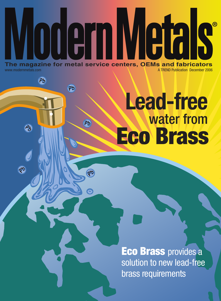

**Ph** 

 $A_5$ 

43

Fh

Fh

 $\frac{25}{5}$ 

3

## water from **Lead-free Eco Brass**

**Eco Brass** provides a solution to new lead-free brass requirements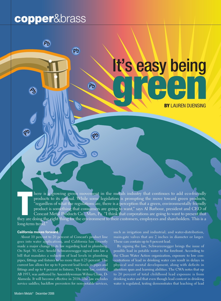### **copper**&brass

Ph

**Ph** 

# It's easy being **green Discription Report Follows**

**BY** LAUREN DUENSING

There is a growing green movement in the metals industry that continues to add eco-friendly products to its arsenal. While some legislation is prompting the move toward green products, "regardless of what the regulations a here is a growing green movement in the metals industry that continues to add eco-friendly products to its arsenal. While some legislation is prompting the move toward green products, "regardless of what the regulations are, there is a perception that a green, environmentally friendly product is something that consumers are going to want," says Al Barbour, president and CEO of Concast Metal Products Co., Mars, Pa. "I think that corporations are going to want to present that long-term trend."

#### **California moves forward**

About 10 percent to 20 percent of Concast's product line goes into water applications, and California has recently made a major change to its law regarding lead in plumbing. On Sept. 30, Gov. Arnold Schwarzenegger signed into law a bill that mandates a reduction of lead levels in plumbing pipes, fittings and fixtures to no more than 0.25 percent. The current law allows for up to 8 percent lead levels in pipes and fittings and up to 4 percent in fixtures. The new law, entitled AB 1953, was authored by Assemblywoman Wilma Chan, D-Alameda. It will become effective in 2010. The law excludes service saddles; backflow preventers for non-potable services, such as irrigation and industrial; and water-distribution, main-gate valves that are 2 inches in diameter or larger. These can contain up to 8 percent lead.

By signing the law, Schwarzenegger brings the issue of possible lead in potable water to the forefront. According to the Clean Water Action organization, exposure to low concentrations of lead in drinking water can result in delays in physical and mental development, along with deficits in attention span and learning abilities. The CWA notes that up to 20 percent of total childhood lead exposure is from drinking water and that even though lead content in drinking water is regulated, testing demonstrates that leaching of lead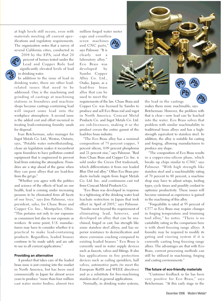at high levels still occurs, even with materials meeting all current specifications and regulatory requirements. The organization notes that a survey of several California cities, conducted in

2004 by the EPA, said that 20 percent of homes tested under the Lead and Copper Rule had significantly elevated levels of lead in drinking water.

In addition to the issue of lead in drinking water, there are other leadrelated issues that need to be addressed. One is the machining and grinding of castings at machining stations in foundries and machine shops because castings containing lead will impart some lead into the workplace atmosphere. A second issue is the added cost and effort incurred in treating lead-containing foundry sands for disposal.

Ivan Betcherman, sales manager for Ingot Metals Co. Ltd., Weston, Ontario, says, "Potable water notwithstanding, clean air legislation makes it incumbent upon foundries to have pollution control equipment that is engineered to prevent lead from entering the atmosphere. Foundries are a step ahead of the game when they can pour alloys that are lead-free from the get go."

"Whether you agree with the politics and science of the effects of lead on our health, lead is coming under increasing pressure to be eliminated from all facets of our lives," says Jim Palmour, vice president, sales, for Chase Brass and Copper Co. Inc., Montpelier, Ohio. "This pertains not only to our exposure as consumers but also to our exposure as workers. At some point, U.S. manufacturers may have to consider whether it is practical to make lead-containing products. Regardless, leaded brasses continue to be made safely and are safe to use in all current applications."

#### **Providing an alternative**

A product that takes care of the leaded brass issue is just coming into the market in North America, but has been used commercially in Japan for almost seven years to produce "more than four million cast water meter bodies, almost two

million forged water meter caps and countless screw machines and CNC parts," says Palmour. "It is clearly not a laboratory alloy." Eco Brass was developed by Sambo Copper Alloy Co. Ltd., Osaka, Japan, as a lead-free brass alloy that can be used to meet the



requirements of the law. Chase Brass and Copper Co. was licensed by Sambo to produce and sell Eco Brass rod and ingot in North America. Concast Metal Products Co. and Ingot Metals Co. Ltd. are sub-licensees, making it so the product covers the entire gamut of the lead-free brass industry.

"The Eco Brass alloy has a nominal composition of 75 percent copper, 3 percent silicon, 0.09 percent phosphorus and 21 percent zinc," says Palmour. "Rod from Chase Brass and Copper Co. Inc. is sold under the Green Dot trademark, which differentiates it from our leaded Blue Dot rod alloy." Other Eco Brass products include ingots from Ingot Metals Co. Ltd. Inc. and continuous cast rod from Concast Metal Products Co.

"Eco Brass was developed in response to a tightening of the drinking water lead leachate restriction in Japan that took effect in April of 2003," says Palmour. "Sambo went beyond the requirement of eliminating lead, however, and developed an alloy that can be machined, forged or cast; has strength like some stainless steel alloys; and has superior resistance to dezincification and stress corrosion cracking compared to existing leaded brasses." Eco Brass is currently used in water supply devices such as faucets, valves and fittings. It also has applications in fire protection devices such as ceiling sprinklers, ball valves, automotive parts (to meet the European RoHS and WEEE directives) and as a substitute for free-machining stainless steel in general applications.

Normally, in drinking water systems,

the lead in the castings makes them more machinable, says Betcherman. However, the problem with that is clear—now lead can be leached into the water. Eco Brass solves that problem with similar machinability to traditional brass alloys and has a highstrength equivalent to stainless steel. In addition, the alloy is suitable for casting and forging, allowing manufacturers to produce any shape.

"The composition of Eco Brass results in a copper-zinc-silicon phase, which breaks up chips similar to C360," says Palmour. "With high strength like stainless steel and a machinability rating of 70 percent to 80 percent, a machine shop may have to adjust setups, tooling types, cycle times and possibly coolant to optimize productivity. These issues will become minimal as experience is gained in the machining of this alloy.

"Forgeability is rated at 95 percent of C377 so Eco Brass may require changes in forging temperature and trimming tool alloy," he notes. "There is no castability rating so the comparison here is with short freezing range alloys. A foundry may be required to modify its gating and risering system if it is currently casting long freezing range alloys. The advantages are that with Eco Brass, current processing methods can still be utilized in machining, forging and casting environments."

#### **The future of eco-friendly materials**

"Customer feedback so far has been very positive for Eco Brass," says Betcherman. "At this early stage in the